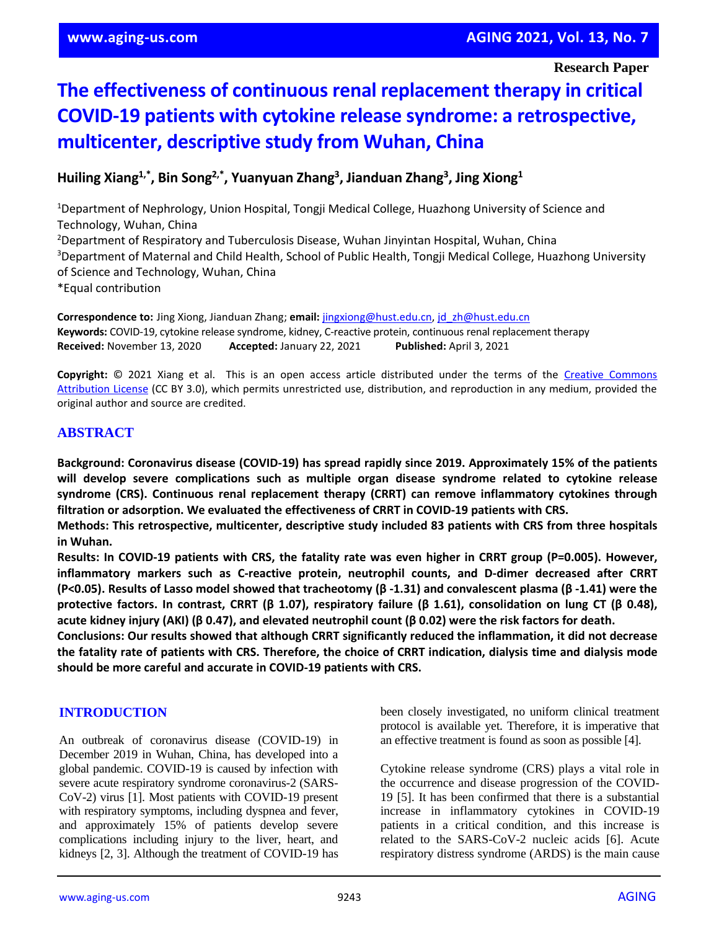# **The effectiveness of continuous renal replacement therapy in critical COVID-19 patients with cytokine release syndrome: a retrospective, multicenter, descriptive study from Wuhan, China**

**Huiling Xiang1,\* , Bin Song2,\* , Yuanyuan Zhang<sup>3</sup> , Jianduan Zhang<sup>3</sup> , Jing Xiong<sup>1</sup>**

<sup>1</sup>Department of Nephrology, Union Hospital, Tongji Medical College, Huazhong University of Science and Technology, Wuhan, China <sup>2</sup>Department of Respiratory and Tuberculosis Disease, Wuhan Jinyintan Hospital, Wuhan, China <sup>3</sup>Department of Maternal and Child Health, School of Public Health, Tongji Medical College, Huazhong University of Science and Technology, Wuhan, China \*Equal contribution

**Correspondence to:** Jing Xiong, Jianduan Zhang; **email:** [jingxiong@hust.edu.cn,](mailto:jingxiong@hust.edu.cn) [jd\\_zh@hust.edu.cn](mailto:jd_zh@hust.edu.cn) **Keywords:** COVID-19, cytokine release syndrome, kidney, C-reactive protein, continuous renal replacement therapy **Received:** November 13, 2020 **Accepted:** January 22, 2021 **Published:** April 3, 2021

**Copyright:** © 2021 Xiang et al. This is an open access article distributed under the terms of the [Creative Commons](https://creativecommons.org/licenses/by/3.0/)  [Attribution License](https://creativecommons.org/licenses/by/3.0/) (CC BY 3.0), which permits unrestricted use, distribution, and reproduction in any medium, provided the original author and source are credited.

# **ABSTRACT**

**Background: Coronavirus disease (COVID-19) has spread rapidly since 2019. Approximately 15% of the patients will develop severe complications such as multiple organ disease syndrome related to cytokine release syndrome (CRS). Continuous renal replacement therapy (CRRT) can remove inflammatory cytokines through filtration or adsorption. We evaluated the effectiveness of CRRT in COVID-19 patients with CRS.**

**Methods: This retrospective, multicenter, descriptive study included 83 patients with CRS from three hospitals in Wuhan.**

Results: In COVID-19 patients with CRS, the fatality rate was even higher in CRRT group (P=0.005). However, **inflammatory markers such as C-reactive protein, neutrophil counts, and D-dimer decreased after CRRT** (P<0.05). Results of Lasso model showed that tracheotomy ( $\beta$ -1.31) and convalescent plasma ( $\beta$ -1.41) were the protective factors. In contrast, CRRT ( $\beta$  1.07), respiratory failure ( $\beta$  1.61), consolidation on lung CT ( $\beta$  0.48), acute kidney injury (AKI) ( $\beta$  0.47), and elevated neutrophil count ( $\beta$  0.02) were the risk factors for death.

**Conclusions: Our results showed that although CRRT significantly reduced the inflammation, it did not decrease** the fatality rate of patients with CRS. Therefore, the choice of CRRT indication, dialysis time and dialysis mode **should be more careful and accurate in COVID-19 patients with CRS.**

## **INTRODUCTION**

An outbreak of coronavirus disease (COVID-19) in December 2019 in Wuhan, China, has developed into a global pandemic. COVID-19 is caused by infection with severe acute respiratory syndrome coronavirus-2 (SARS-CoV-2) virus [1]. Most patients with COVID-19 present with respiratory symptoms, including dyspnea and fever, and approximately 15% of patients develop severe complications including injury to the liver, heart, and kidneys [2, 3]. Although the treatment of COVID-19 has been closely investigated, no uniform clinical treatment protocol is available yet. Therefore, it is imperative that an effective treatment is found as soon as possible [4].

Cytokine release syndrome (CRS) plays a vital role in the occurrence and disease progression of the COVID-19 [5]. It has been confirmed that there is a substantial increase in inflammatory cytokines in COVID-19 patients in a critical condition, and this increase is related to the SARS-CoV-2 nucleic acids [6]. Acute respiratory distress syndrome (ARDS) is the main cause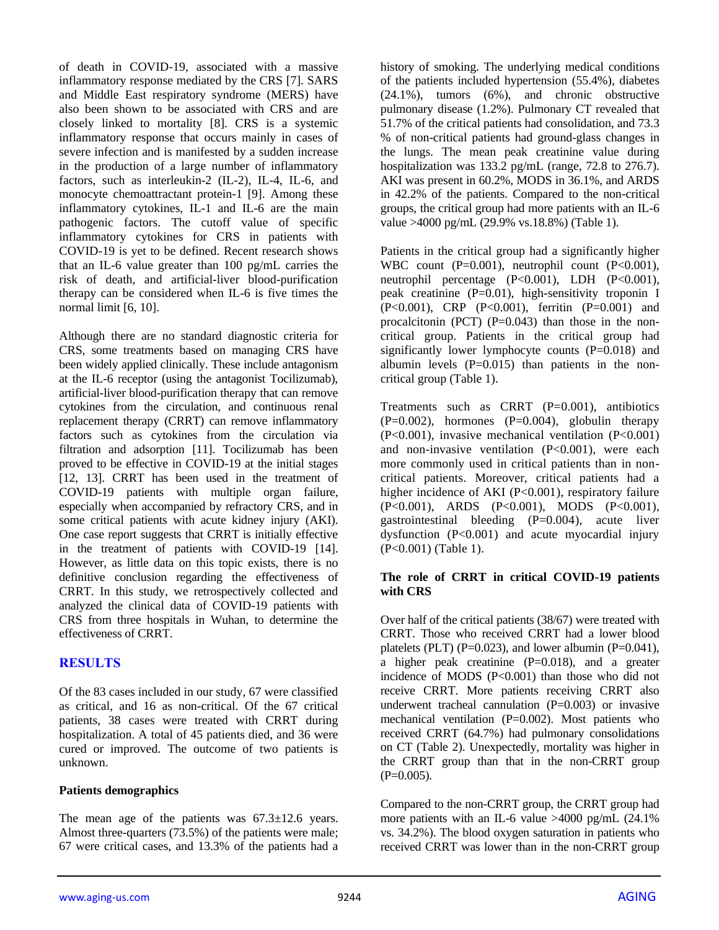of death in COVID-19, associated with a massive inflammatory response mediated by the CRS [7]. SARS and Middle East respiratory syndrome (MERS) have also been shown to be associated with CRS and are closely linked to mortality [8]. CRS is a systemic inflammatory response that occurs mainly in cases of severe infection and is manifested by a sudden increase in the production of a large number of inflammatory factors, such as interleukin-2 (IL-2), IL-4, IL-6, and monocyte chemoattractant protein-1 [9]. Among these inflammatory cytokines, IL-1 and IL-6 are the main pathogenic factors. The cutoff value of specific inflammatory cytokines for CRS in patients with COVID-19 is yet to be defined. Recent research shows that an IL-6 value greater than 100 pg/mL carries the risk of death, and artificial-liver blood-purification therapy can be considered when IL-6 is five times the normal limit [6, 10].

Although there are no standard diagnostic criteria for CRS, some treatments based on managing CRS have been widely applied clinically. These include antagonism at the IL-6 receptor (using the antagonist Tocilizumab), artificial-liver blood-purification therapy that can remove cytokines from the circulation, and continuous renal replacement therapy (CRRT) can remove inflammatory factors such as cytokines from the circulation via filtration and adsorption [11]. Tocilizumab has been proved to be effective in COVID-19 at the initial stages [12, 13]. CRRT has been used in the treatment of COVID-19 patients with multiple organ failure, especially when accompanied by refractory CRS, and in some critical patients with acute kidney injury (AKI). One case report suggests that CRRT is initially effective in the treatment of patients with COVID-19 [14]. However, as little data on this topic exists, there is no definitive conclusion regarding the effectiveness of CRRT. In this study, we retrospectively collected and analyzed the clinical data of COVID-19 patients with CRS from three hospitals in Wuhan, to determine the effectiveness of CRRT.

## **RESULTS**

Of the 83 cases included in our study, 67 were classified as critical, and 16 as non-critical. Of the 67 critical patients, 38 cases were treated with CRRT during hospitalization. A total of 45 patients died, and 36 were cured or improved. The outcome of two patients is unknown.

## **Patients demographics**

The mean age of the patients was  $67.3 \pm 12.6$  years. Almost three-quarters (73.5%) of the patients were male; 67 were critical cases, and 13.3% of the patients had a

history of smoking. The underlying medical conditions of the patients included hypertension (55.4%), diabetes (24.1%), tumors (6%), and chronic obstructive pulmonary disease (1.2%). Pulmonary CT revealed that 51.7% of the critical patients had consolidation, and 73.3 % of non-critical patients had ground-glass changes in the lungs. The mean peak creatinine value during hospitalization was 133.2 pg/mL (range, 72.8 to 276.7). AKI was present in 60.2%, MODS in 36.1%, and ARDS in 42.2% of the patients. Compared to the non-critical groups, the critical group had more patients with an IL-6 value >4000 pg/mL (29.9% vs.18.8%) (Table 1).

Patients in the critical group had a significantly higher WBC count (P=0.001), neutrophil count (P<0.001), neutrophil percentage (P<0.001), LDH (P<0.001), peak creatinine (P=0.01), high-sensitivity troponin I (P<0.001), CRP (P<0.001), ferritin (P=0.001) and procalcitonin (PCT)  $(P=0.043)$  than those in the noncritical group. Patients in the critical group had significantly lower lymphocyte counts (P=0.018) and albumin levels  $(P=0.015)$  than patients in the noncritical group (Table 1).

Treatments such as CRRT (P=0.001), antibiotics  $(P=0.002)$ , hormones  $(P=0.004)$ , globulin therapy (P<0.001), invasive mechanical ventilation (P<0.001) and non-invasive ventilation  $(P<0.001)$ , were each more commonly used in critical patients than in noncritical patients. Moreover, critical patients had a higher incidence of AKI (P<0.001), respiratory failure (P<0.001), ARDS (P<0.001), MODS (P<0.001), gastrointestinal bleeding  $(P=0.004)$ , acute liver dysfunction (P<0.001) and acute myocardial injury (P<0.001) (Table 1).

#### **The role of CRRT in critical COVID-19 patients with CRS**

Over half of the critical patients (38/67) were treated with CRRT. Those who received CRRT had a lower blood platelets (PLT) (P=0.023), and lower albumin (P=0.041), a higher peak creatinine  $(P=0.018)$ , and a greater incidence of MODS (P<0.001) than those who did not receive CRRT. More patients receiving CRRT also underwent tracheal cannulation  $(P=0.003)$  or invasive mechanical ventilation  $(P=0.002)$ . Most patients who received CRRT (64.7%) had pulmonary consolidations on CT (Table 2). Unexpectedly, mortality was higher in the CRRT group than that in the non-CRRT group  $(P=0.005)$ .

Compared to the non-CRRT group, the CRRT group had more patients with an IL-6 value >4000 pg/mL (24.1% vs. 34.2%). The blood oxygen saturation in patients who received CRRT was lower than in the non-CRRT group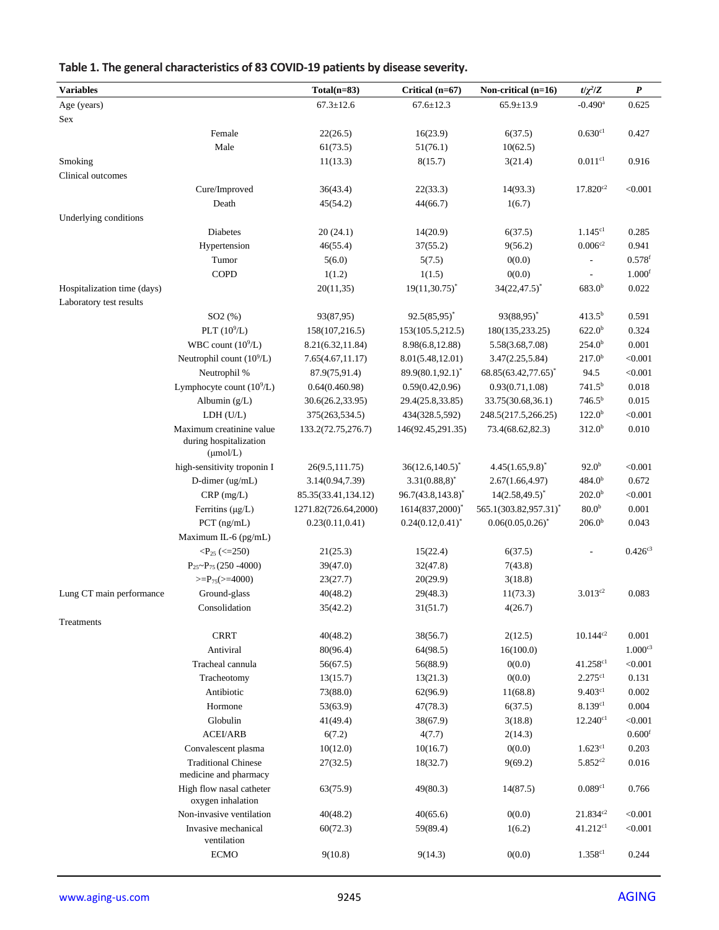| <b>Variables</b>            |                                                                            | $Total(n=83)$        | Critical (n=67)         | Non-critical (n=16)             | $t/\chi^2/Z$          | $\boldsymbol{P}$     |
|-----------------------------|----------------------------------------------------------------------------|----------------------|-------------------------|---------------------------------|-----------------------|----------------------|
| Age (years)                 |                                                                            | $67.3 \pm 12.6$      | $67.6 \pm 12.3$         | $65.9 \pm 13.9$                 | $-0.490$ <sup>a</sup> | 0.625                |
| $\operatorname{Sex}$        |                                                                            |                      |                         |                                 |                       |                      |
|                             | Female                                                                     | 22(26.5)             | 16(23.9)                | 6(37.5)                         | 0.630c1               | 0.427                |
|                             | Male                                                                       | 61(73.5)             | 51(76.1)                | 10(62.5)                        |                       |                      |
| Smoking                     |                                                                            | 11(13.3)             | 8(15.7)                 | 3(21.4)                         | $0.011$ <sup>c1</sup> | 0.916                |
| Clinical outcomes           |                                                                            |                      |                         |                                 |                       |                      |
|                             | Cure/Improved                                                              | 36(43.4)             | 22(33.3)                | 14(93.3)                        | $17.820^{c2}$         | < 0.001              |
|                             | Death                                                                      | 45(54.2)             | 44(66.7)                | 1(6.7)                          |                       |                      |
| Underlying conditions       |                                                                            |                      |                         |                                 |                       |                      |
|                             | <b>Diabetes</b>                                                            | 20(24.1)             | 14(20.9)                | 6(37.5)                         | 1.145c1               | 0.285                |
|                             | Hypertension                                                               | 46(55.4)             | 37(55.2)                | 9(56.2)                         | $0.006^{c2}$          | 0.941                |
|                             | Tumor                                                                      | 5(6.0)               | 5(7.5)                  | 0(0.0)                          |                       | $0.578$ <sup>f</sup> |
|                             | <b>COPD</b>                                                                | 1(1.2)               | 1(1.5)                  | 0(0.0)                          | $\overline{a}$        | 1.000 <sup>f</sup>   |
| Hospitalization time (days) |                                                                            | 20(11,35)            | $19(11,30.75)^*$        | $34(22, 47.5)^*$                | 683.0 <sup>b</sup>    | 0.022                |
| Laboratory test results     |                                                                            |                      |                         |                                 |                       |                      |
|                             | SO2(%)                                                                     | 93(87,95)            | $92.5(85,95)^*$         | $93(88.95)^{*}$                 | $413.5^{b}$           | 0.591                |
|                             | PLT $(10^9/L)$                                                             | 158(107,216.5)       | 153(105.5,212.5)        | 180(135,233.25)                 | $622.0^{b}$           | 0.324                |
|                             | WBC count $(10^9/L)$                                                       | 8.21(6.32,11.84)     | 8.98(6.8,12.88)         | 5.58(3.68,7.08)                 | 254.0 <sup>b</sup>    | 0.001                |
|                             | Neutrophil count $(10^9/L)$                                                | 7.65(4.67, 11.17)    | 8.01(5.48,12.01)        | 3.47(2.25,5.84)                 | 217.0 <sup>b</sup>    | < 0.001              |
|                             | Neutrophil %                                                               | 87.9(75,91.4)        | $89.9(80.1, 92.1)^*$    | 68.85(63.42,77.65) <sup>*</sup> | 94.5                  | < 0.001              |
|                             | Lymphocyte count $(10^9/L)$                                                | 0.64(0.460.98)       | 0.59(0.42, 0.96)        | 0.93(0.71, 1.08)                | $741.5^{b}$           | 0.018                |
|                             | Albumin (g/L)                                                              | 30.6(26.2,33.95)     | 29.4(25.8,33.85)        | 33.75(30.68,36.1)               | $746.5^{b}$           | 0.015                |
|                             | LDH (U/L)                                                                  | 375(263,534.5)       | 434(328.5,592)          | 248.5(217.5,266.25)             | 122.0 <sup>b</sup>    | < 0.001              |
|                             | Maximum creatinine value<br>during hospitalization<br>$(\mu \text{mol/L})$ | 133.2(72.75,276.7)   | 146(92.45,291.35)       | 73.4(68.62,82.3)                | 312.0 <sup>b</sup>    | 0.010                |
|                             | high-sensitivity troponin I                                                | 26(9.5,111.75)       | $36(12.6, 140.5)^*$     | $4.45(1.65,9.8)^{*}$            | 92.0 <sup>b</sup>     | < 0.001              |
|                             | D-dimer (ug/mL)                                                            | 3.14(0.94,7.39)      | $3.31(0.88,8)^*$        | 2.67(1.66, 4.97)                | 484.0 <sup>b</sup>    | 0.672                |
|                             | $CRP$ (mg/L)                                                               | 85.35(33.41,134.12)  | $96.7(43.8, 143.8)^{*}$ | $14(2.58, 49.5)^*$              | 202.0 <sup>b</sup>    | < 0.001              |
|                             | Ferritins $(\mu g/L)$                                                      | 1271.82(726.64,2000) | 1614(837,2000)*         | 565.1(303.82,957.31)*           | 80.0 <sup>b</sup>     | 0.001                |
|                             | $PCT$ (ng/mL)                                                              | 0.23(0.11, 0.41)     | $0.24(0.12, 0.41)^{*}$  | $0.06(0.05, 0.26)^*$            | 206.0 <sup>b</sup>    | 0.043                |
|                             | Maximum IL-6 (pg/mL)                                                       |                      |                         |                                 |                       |                      |
|                             | $\langle P_{25} (\langle =250 \rangle)$                                    | 21(25.3)             | 15(22.4)                | 6(37.5)                         |                       | $0.426^{c3}$         |
|                             | $P_{25}P_{75}$ (250 -4000)                                                 | 39(47.0)             | 32(47.8)                | 7(43.8)                         |                       |                      |
|                             | $>=P_{75} (=4000)$                                                         | 23(27.7)             | 20(29.9)                | 3(18.8)                         |                       |                      |
| Lung CT main performance    | Ground-glass                                                               | 40(48.2)             | 29(48.3)                | 11(73.3)                        | $3.013^{c2}$          | 0.083                |
|                             | Consolidation                                                              | 35(42.2)             | 31(51.7)                | 4(26.7)                         |                       |                      |
| Treatments                  |                                                                            |                      |                         |                                 |                       |                      |
|                             | <b>CRRT</b>                                                                | 40(48.2)             | 38(56.7)                | 2(12.5)                         | $10.144^{c2}$         | 0.001                |
|                             | Antiviral                                                                  | 80(96.4)             | 64(98.5)                | 16(100.0)                       |                       | $1.000^{c3}$         |
|                             | Tracheal cannula                                                           | 56(67.5)             | 56(88.9)                | 0(0.0)                          | 41.258c1              | < 0.001              |
|                             | Tracheotomy                                                                | 13(15.7)             | 13(21.3)                | 0(0.0)                          | 2.275c1               | 0.131                |
|                             | Antibiotic                                                                 | 73(88.0)             | 62(96.9)                | 11(68.8)                        | 9.403c1               | 0.002                |
|                             | Hormone                                                                    | 53(63.9)             | 47(78.3)                | 6(37.5)                         | 8.139c1               | 0.004                |
|                             | Globulin                                                                   | 41(49.4)             | 38(67.9)                | 3(18.8)                         | $12.240^{c1}$         | < 0.001              |
|                             | <b>ACEI/ARB</b>                                                            | 6(7.2)               | 4(7.7)                  | 2(14.3)                         |                       | 0.600 <sup>f</sup>   |
|                             | Convalescent plasma                                                        | 10(12.0)             | 10(16.7)                | 0(0.0)                          | 1.623c1               | 0.203                |
|                             | <b>Traditional Chinese</b><br>medicine and pharmacy                        | 27(32.5)             | 18(32.7)                | 9(69.2)                         | $5.852^{c2}$          | 0.016                |
|                             | High flow nasal catheter<br>oxygen inhalation                              | 63(75.9)             | 49(80.3)                | 14(87.5)                        | 0.089c1               | 0.766                |
|                             | Non-invasive ventilation                                                   | 40(48.2)             | 40(65.6)                | 0(0.0)                          | $21.834^{c2}$         | < 0.001              |
|                             | Invasive mechanical<br>ventilation                                         | 60(72.3)             | 59(89.4)                | 1(6.2)                          | 41.212c1              | < 0.001              |
|                             | <b>ECMO</b>                                                                | 9(10.8)              | 9(14.3)                 | 0(0.0)                          | 1.358c1               | 0.244                |

# **Table 1. The general characteristics of 83 COVID-19 patients by disease severity.**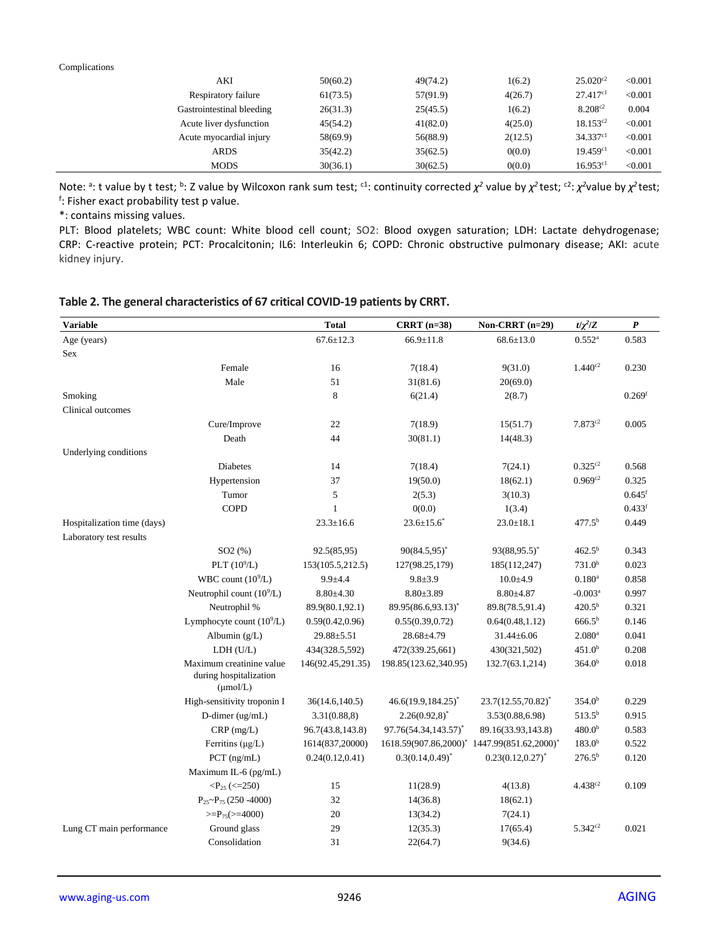#### Complications

| AKI                       | 50(60.2) | 49(74.2) | 1(6.2)  | $25.020^{c2}$ | < 0.001 |
|---------------------------|----------|----------|---------|---------------|---------|
| Respiratory failure       | 61(73.5) | 57(91.9) | 4(26.7) | 27.417c1      | < 0.001 |
| Gastrointestinal bleeding | 26(31.3) | 25(45.5) | 1(6.2)  | $8.208^{c2}$  | 0.004   |
| Acute liver dysfunction   | 45(54.2) | 41(82.0) | 4(25.0) | $18.153^{c2}$ | < 0.001 |
| Acute myocardial injury   | 58(69.9) | 56(88.9) | 2(12.5) | 34.337c1      | < 0.001 |
| <b>ARDS</b>               | 35(42.2) | 35(62.5) | 0(0.0)  | 19.459c1      | < 0.001 |
| <b>MODS</b>               | 30(36.1) | 30(62.5) | 0(0.0)  | 16.953c1      | < 0.001 |

Note: <sup>a</sup>: t value by t test; <sup>b</sup>: Z value by Wilcoxon rank sum test; <sup>c1</sup>: continuity corrected *χ*<sup>2</sup> value by *χ*<sup>2</sup> test; <sup>c2</sup>: *χ*<sup>2</sup>value by *χ*<sup>2</sup> test; f : Fisher exact probability test p value.

\*: contains missing values.

PLT: Blood platelets; WBC count: White blood cell count; SO2: Blood oxygen saturation; LDH: Lactate dehydrogenase; CRP: C-reactive protein; PCT: Procalcitonin; IL6: Interleukin 6; COPD: Chronic obstructive pulmonary disease; AKI: acute kidney injury.

|  | Table 2. The general characteristics of 67 critical COVID-19 patients by CRRT. |  |  |
|--|--------------------------------------------------------------------------------|--|--|
|--|--------------------------------------------------------------------------------|--|--|

| <b>Variable</b>             |                                                                            | <b>Total</b>      | $CRRT$ (n=38)         | Non-CRRT $(n=29)$                                                   | $t/\chi^2/Z$          | $\boldsymbol{P}$     |
|-----------------------------|----------------------------------------------------------------------------|-------------------|-----------------------|---------------------------------------------------------------------|-----------------------|----------------------|
| Age (years)                 |                                                                            | $67.6 \pm 12.3$   | $66.9 \pm 11.8$       | $68.6 \pm 13.0$                                                     | $0.552^{a}$           | 0.583                |
| Sex                         |                                                                            |                   |                       |                                                                     |                       |                      |
|                             | Female                                                                     | 16                | 7(18.4)               | 9(31.0)                                                             | $1.440^{c2}$          | 0.230                |
|                             | Male                                                                       | 51                | 31(81.6)              | 20(69.0)                                                            |                       |                      |
| Smoking                     |                                                                            | 8                 | 6(21.4)               | 2(8.7)                                                              |                       | 0.269 <sup>f</sup>   |
| Clinical outcomes           |                                                                            |                   |                       |                                                                     |                       |                      |
|                             | Cure/Improve                                                               | 22                | 7(18.9)               | 15(51.7)                                                            | $7.873^{c2}$          | 0.005                |
|                             | Death                                                                      | 44                | 30(81.1)              | 14(48.3)                                                            |                       |                      |
| Underlying conditions       |                                                                            |                   |                       |                                                                     |                       |                      |
|                             | <b>Diabetes</b>                                                            | 14                | 7(18.4)               | 7(24.1)                                                             | $0.325^{c2}$          | 0.568                |
|                             | Hypertension                                                               | 37                | 19(50.0)              | 18(62.1)                                                            | $0.969^{c2}$          | 0.325                |
|                             | Tumor                                                                      | 5                 | 2(5.3)                | 3(10.3)                                                             |                       | $0.645$ <sup>f</sup> |
|                             | <b>COPD</b>                                                                | $\mathbf{1}$      | 0(0.0)                | 1(3.4)                                                              |                       | 0.433 <sup>f</sup>   |
| Hospitalization time (days) |                                                                            | $23.3 \pm 16.6$   | $23.6 \pm 15.6^*$     | $23.0 \pm 18.1$                                                     | 477.5 <sup>b</sup>    | 0.449                |
| Laboratory test results     |                                                                            |                   |                       |                                                                     |                       |                      |
|                             | SO2(%)                                                                     | 92.5(85,95)       | $90(84.5,95)^*$       | $93(88, 95.5)^*$                                                    | $462.5^{b}$           | 0.343                |
|                             | PLT $(10^9/L)$                                                             | 153(105.5,212.5)  | 127(98.25,179)        | 185(112,247)                                                        | 731.0 <sup>b</sup>    | 0.023                |
|                             | WBC count $(10^9/L)$                                                       | $9.9 + 4.4$       | $9.8 + 3.9$           | $10.0 + 4.9$                                                        | $0.180^{a}$           | 0.858                |
|                             | Neutrophil count $(10^9/L)$                                                | $8.80{\pm}4.30$   | $8.80 \pm 3.89$       | $8.80{\pm}4.87$                                                     | $-0.003$ <sup>a</sup> | 0.997                |
|                             | Neutrophil %                                                               | 89.9(80.1,92.1)   | 89.95(86.6,93.13)*    | 89.8(78.5,91.4)                                                     | $420.5^{b}$           | 0.321                |
|                             | Lymphocyte count $(10^9/L)$                                                | 0.59(0.42, 0.96)  | 0.55(0.39, 0.72)      | 0.64(0.48, 1.12)                                                    | $666.5^{b}$           | 0.146                |
|                             | Albumin $(g/L)$                                                            | $29.88 \pm 5.51$  | 28.68±4.79            | $31.44 \pm 6.06$                                                    | $2.080$ <sup>a</sup>  | 0.041                |
|                             | LDH (U/L)                                                                  | 434(328.5,592)    | 472(339.25,661)       | 430(321,502)                                                        | 451.0 <sup>b</sup>    | 0.208                |
|                             | Maximum creatinine value<br>during hospitalization<br>$(\mu \text{mol/L})$ | 146(92.45,291.35) | 198.85(123.62,340.95) | 132.7(63.1,214)                                                     | 364.0 <sup>b</sup>    | 0.018                |
|                             | High-sensitivity troponin I                                                | 36(14.6, 140.5)   | 46.6(19.9,184.25)*    | 23.7(12.55,70.82)*                                                  | 354.0 <sup>b</sup>    | 0.229                |
|                             | D-dimer (ug/mL)                                                            | 3.31(0.88,8)      | $2.26(0.92,8)^{*}$    | 3.53(0.88, 6.98)                                                    | $513.5^{b}$           | 0.915                |
|                             | $CRP$ (mg/L)                                                               | 96.7(43.8,143.8)  | 97.76(54.34,143.57)*  | 89.16(33.93,143.8)                                                  | 480.0 <sup>b</sup>    | 0.583                |
|                             | Ferritins $(\mu g/L)$                                                      | 1614(837,20000)   |                       | 1618.59(907.86,2000) <sup>*</sup> 1447.99(851.62,2000) <sup>*</sup> | $183.0^{b}$           | 0.522                |
|                             | PCT (ng/mL)                                                                | 0.24(0.12, 0.41)  | $0.3(0.14.0.49)^{*}$  | $0.23(0.12, 0.27)^{*}$                                              | $276.5^{b}$           | 0.120                |
|                             | Maximum IL-6 (pg/mL)                                                       |                   |                       |                                                                     |                       |                      |
|                             | $\langle P_{25} \rangle \langle \langle =250 \rangle$                      | 15                | 11(28.9)              | 4(13.8)                                                             | 4.438c2               | 0.109                |
|                             | $P_{25}P_{75}(250 - 4000)$                                                 | 32                | 14(36.8)              | 18(62.1)                                                            |                       |                      |
|                             | $>=P_{75} (=4000)$                                                         | 20                | 13(34.2)              | 7(24.1)                                                             |                       |                      |
| Lung CT main performance    | Ground glass                                                               | 29                | 12(35.3)              | 17(65.4)                                                            | $5.342^{c2}$          | 0.021                |
|                             | Consolidation                                                              | 31                | 22(64.7)              | 9(34.6)                                                             |                       |                      |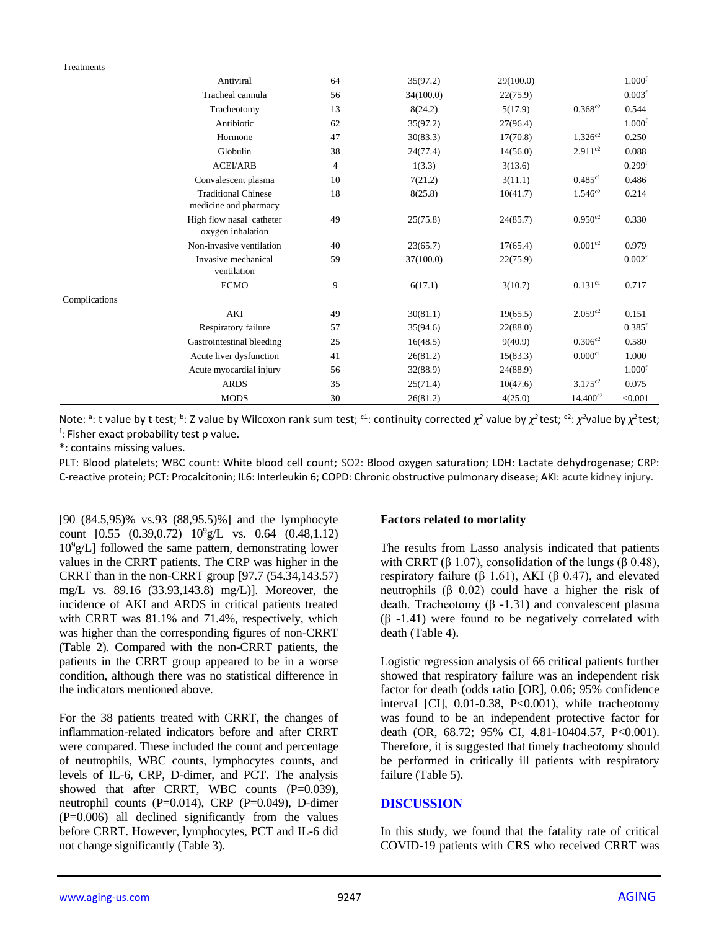#### Treatments

|               | Antiviral                                           | 64             | 35(97.2)  | 29(100.0) |                       | 1.000 <sup>f</sup>   |
|---------------|-----------------------------------------------------|----------------|-----------|-----------|-----------------------|----------------------|
|               | Tracheal cannula                                    | 56             | 34(100.0) | 22(75.9)  |                       | 0.003 <sup>f</sup>   |
|               | Tracheotomy                                         | 13             | 8(24.2)   | 5(17.9)   | $0.368^{c2}$          | 0.544                |
|               | Antibiotic                                          | 62             | 35(97.2)  | 27(96.4)  |                       | 1.000 <sup>f</sup>   |
|               | Hormone                                             | 47             | 30(83.3)  | 17(70.8)  | $1.326^{c2}$          | 0.250                |
|               | Globulin                                            | 38             | 24(77.4)  | 14(56.0)  | $2.911^{c2}$          | 0.088                |
|               | <b>ACEI/ARB</b>                                     | $\overline{4}$ | 1(3.3)    | 3(13.6)   |                       | $0.299$ <sup>f</sup> |
|               | Convalescent plasma                                 | 10             | 7(21.2)   | 3(11.1)   | $0.485c1}$            | 0.486                |
|               | <b>Traditional Chinese</b><br>medicine and pharmacy | 18             | 8(25.8)   | 10(41.7)  | $1.546^{c2}$          | 0.214                |
|               | High flow nasal catheter<br>oxygen inhalation       | 49             | 25(75.8)  | 24(85.7)  | $0.950^{c2}$          | 0.330                |
|               | Non-invasive ventilation                            | 40             | 23(65.7)  | 17(65.4)  | $0.001^{c2}$          | 0.979                |
|               | Invasive mechanical<br>ventilation                  | 59             | 37(100.0) | 22(75.9)  |                       | 0.002 <sup>f</sup>   |
|               | <b>ECMO</b>                                         | 9              | 6(17.1)   | 3(10.7)   | $0.131$ <sup>c1</sup> | 0.717                |
| Complications |                                                     |                |           |           |                       |                      |
|               | AKI                                                 | 49             | 30(81.1)  | 19(65.5)  | $2.059^{c2}$          | 0.151                |
|               | Respiratory failure                                 | 57             | 35(94.6)  | 22(88.0)  |                       | $0.385$ <sup>f</sup> |
|               | Gastrointestinal bleeding                           | 25             | 16(48.5)  | 9(40.9)   | $0.306^{c2}$          | 0.580                |
|               | Acute liver dysfunction                             | 41             | 26(81.2)  | 15(83.3)  | 0.000c1               | 1.000                |
|               | Acute myocardial injury                             | 56             | 32(88.9)  | 24(88.9)  |                       | 1.000 <sup>f</sup>   |
|               | <b>ARDS</b>                                         | 35             | 25(71.4)  | 10(47.6)  | $3.175^{c2}$          | 0.075                |
|               | <b>MODS</b>                                         | 30             | 26(81.2)  | 4(25.0)   | $14.400^{c2}$         | < 0.001              |

Note: <sup>a</sup>: t value by t test; <sup>b</sup>: Z value by Wilcoxon rank sum test; <sup>c1</sup>: continuity corrected *χ*<sup>2</sup> value by *χ*<sup>2</sup> test; <sup>c2</sup>: *χ*<sup>2</sup>value by *χ*<sup>2</sup> test; f : Fisher exact probability test p value.

\*: contains missing values.

PLT: Blood platelets; WBC count: White blood cell count; SO2: Blood oxygen saturation; LDH: Lactate dehydrogenase; CRP: C-reactive protein; PCT: Procalcitonin; IL6: Interleukin 6; COPD: Chronic obstructive pulmonary disease; AKI: acute kidney injury.

[90 (84.5,95)% vs.93 (88,95.5)%] and the lymphocyte count  $[0.55 (0.39, 0.72) 10^9 g/L$  vs. 0.64  $(0.48, 1.12)$  $10^9$ g/L] followed the same pattern, demonstrating lower values in the CRRT patients. The CRP was higher in the CRRT than in the non-CRRT group [97.7 (54.34,143.57) mg/L vs. 89.16 (33.93,143.8) mg/L)]. Moreover, the incidence of AKI and ARDS in critical patients treated with CRRT was 81.1% and 71.4%, respectively, which was higher than the corresponding figures of non-CRRT (Table 2). Compared with the non-CRRT patients, the patients in the CRRT group appeared to be in a worse condition, although there was no statistical difference in the indicators mentioned above.

For the 38 patients treated with CRRT, the changes of inflammation-related indicators before and after CRRT were compared. These included the count and percentage of neutrophils, WBC counts, lymphocytes counts, and levels of IL-6, CRP, D-dimer, and PCT. The analysis showed that after CRRT, WBC counts (P=0.039), neutrophil counts (P=0.014), CRP (P=0.049), D-dimer (P=0.006) all declined significantly from the values before CRRT. However, lymphocytes, PCT and IL-6 did not change significantly (Table 3).

#### **Factors related to mortality**

The results from Lasso analysis indicated that patients with CRRT (β 1.07), consolidation of the lungs (β 0.48), respiratory failure ( $β$  1.61), AKI ( $β$  0.47), and elevated neutrophils (β 0.02) could have a higher the risk of death. Tracheotomy (β -1.31) and convalescent plasma (β -1.41) were found to be negatively correlated with death (Table 4).

Logistic regression analysis of 66 critical patients further showed that respiratory failure was an independent risk factor for death (odds ratio [OR], 0.06; 95% confidence interval [CI], 0.01-0.38, P<0.001), while tracheotomy was found to be an independent protective factor for death (OR, 68.72; 95% CI, 4.81-10404.57, P<0.001). Therefore, it is suggested that timely tracheotomy should be performed in critically ill patients with respiratory failure (Table 5).

#### **DISCUSSION**

In this study, we found that the fatality rate of critical COVID-19 patients with CRS who received CRRT was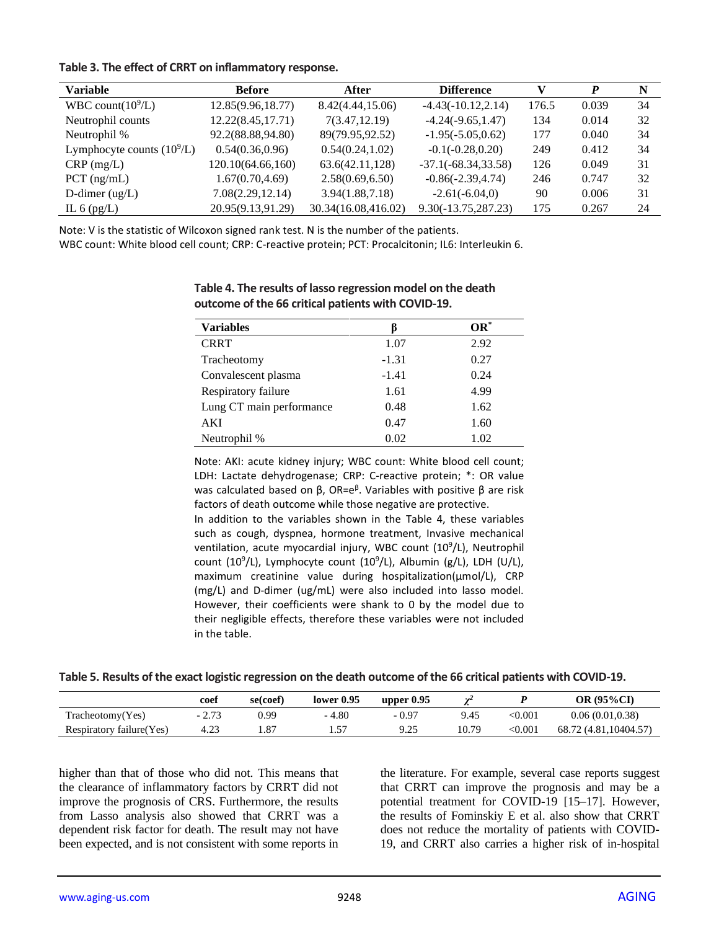#### **Table 3. The effect of CRRT on inflammatory response.**

| <b>Variable</b>              | <b>Before</b>      | After               | <b>Difference</b>      |       |       | N  |
|------------------------------|--------------------|---------------------|------------------------|-------|-------|----|
| WBC count $(10^9/L)$         | 12.85(9.96,18.77)  | 8.42(4.44,15.06)    | $-4.43(-10.12, 2.14)$  | 176.5 | 0.039 | 34 |
| Neutrophil counts            | 12.22(8.45, 17.71) | 7(3.47, 12.19)      | $-4.24(-9.65, 1.47)$   | 134   | 0.014 | 32 |
| Neutrophil %                 | 92.2(88.88,94.80)  | 89(79.95,92.52)     | $-1.95(-5.05, 0.62)$   | 177   | 0.040 | 34 |
| Lymphocyte counts $(10^9/L)$ | 0.54(0.36, 0.96)   | 0.54(0.24, 1.02)    | $-0.1(-0.28, 0.20)$    | 249   | 0.412 | 34 |
| $CRP$ (mg/L)                 | 120.10(64.66,160)  | 63.6(42.11,128)     | $-37.1(-68.34, 33.58)$ | 126   | 0.049 | 31 |
| $PCT$ (ng/mL)                | 1.67(0.70, 4.69)   | 2.58(0.69, 6.50)    | $-0.86(-2.39, 4.74)$   | 246   | 0.747 | 32 |
| D-dimer $(ug/L)$             | 7.08(2.29, 12.14)  | 3.94(1.88, 7.18)    | $-2.61(-6.04,0)$       | 90    | 0.006 | 31 |
| IL $6$ (pg/L)                | 20.95(9.13,91.29)  | 30.34(16.08,416.02) | $9.30(-13.75, 287.23)$ | 175   | 0.267 | 24 |

Note: V is the statistic of Wilcoxon signed rank test. N is the number of the patients.

WBC count: White blood cell count; CRP: C-reactive protein; PCT: Procalcitonin; IL6: Interleukin 6.

| <b>Variables</b>         |         | $OR^*$ |
|--------------------------|---------|--------|
| <b>CRRT</b>              | 1.07    | 2.92   |
| Tracheotomy              | $-1.31$ | 0.27   |
| Convalescent plasma      | $-1.41$ | 0.24   |
| Respiratory failure      | 1.61    | 4.99   |
| Lung CT main performance | 0.48    | 1.62   |
| AKI                      | 0.47    | 1.60   |
| Neutrophil %             | 0.02    | 1.02   |

#### **Table 4. The results of lasso regression model on the death outcome of the 66 critical patients with COVID-19.**

Note: AKI: acute kidney injury; WBC count: White blood cell count; LDH: Lactate dehydrogenase; CRP: C-reactive protein; \*: OR value was calculated based on β, OR=e<sup>β</sup>. Variables with positive β are risk factors of death outcome while those negative are protective.

In addition to the variables shown in the Table 4, these variables such as cough, dyspnea, hormone treatment, Invasive mechanical ventilation, acute myocardial injury, WBC count (10<sup>9</sup>/L), Neutrophil count (10<sup>9</sup>/L), Lymphocyte count (10<sup>9</sup>/L), Albumin (g/L), LDH (U/L), maximum creatinine value during hospitalization(μmol/L), CRP (mg/L) and D-dimer (ug/mL) were also included into lasso model. However, their coefficients were shank to 0 by the model due to their negligible effects, therefore these variables were not included in the table.

| Table 5. Results of the exact logistic regression on the death outcome of the 66 critical patients with COVID-19. |  |
|-------------------------------------------------------------------------------------------------------------------|--|
|-------------------------------------------------------------------------------------------------------------------|--|

|                           | coef    | se(coef) | lower 0.95 | upper $0.95$ | <b>A460</b> |              | OR (95%CI)            |
|---------------------------|---------|----------|------------|--------------|-------------|--------------|-----------------------|
| Tracheotomy(Yes)          | $-2.73$ | 0.99     | $-4.80$    | $-0.97$      | 9.45        | <0.001       | 0.06(0.01, 0.38)      |
| Respiratory failure (Yes) | 4.23    | 1.87     | 1.57       | 9.25         | 10.79       | $<\!\!0.001$ | 68.72 (4.81,10404.57) |

higher than that of those who did not. This means that the clearance of inflammatory factors by CRRT did not improve the prognosis of CRS. Furthermore, the results from Lasso analysis also showed that CRRT was a dependent risk factor for death. The result may not have been expected, and is not consistent with some reports in the literature. For example, several case reports suggest that CRRT can improve the prognosis and may be a potential treatment for COVID-19 [15–17]. However, the results of Fominskiy E et al. also show that CRRT does not reduce the mortality of patients with COVID-19, and CRRT also carries a higher risk of in-hospital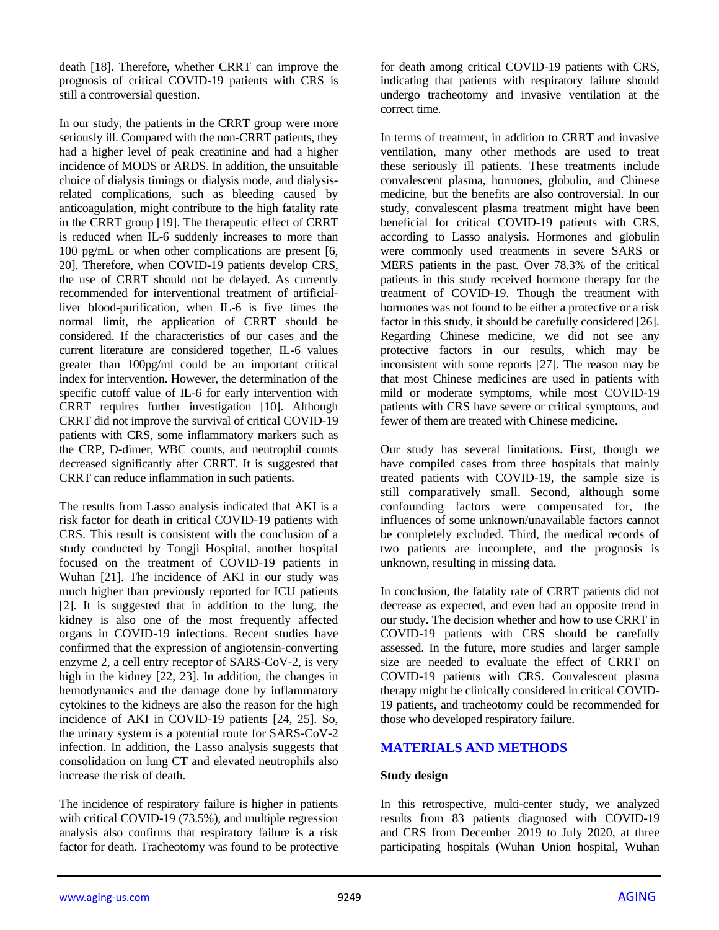death [18]. Therefore, whether CRRT can improve the prognosis of critical COVID-19 patients with CRS is still a controversial question.

In our study, the patients in the CRRT group were more seriously ill. Compared with the non-CRRT patients, they had a higher level of peak creatinine and had a higher incidence of MODS or ARDS. In addition, the unsuitable choice of dialysis timings or dialysis mode, and dialysisrelated complications, such as bleeding caused by anticoagulation, might contribute to the high fatality rate in the CRRT group [19]. The therapeutic effect of CRRT is reduced when IL-6 suddenly increases to more than 100 pg/mL or when other complications are present [6, 20]. Therefore, when COVID-19 patients develop CRS, the use of CRRT should not be delayed. As currently recommended for interventional treatment of artificialliver blood-purification, when IL-6 is five times the normal limit, the application of CRRT should be considered. If the characteristics of our cases and the current literature are considered together, IL-6 values greater than 100pg/ml could be an important critical index for intervention. However, the determination of the specific cutoff value of IL-6 for early intervention with CRRT requires further investigation [10]. Although CRRT did not improve the survival of critical COVID-19 patients with CRS, some inflammatory markers such as the CRP, D-dimer, WBC counts, and neutrophil counts decreased significantly after CRRT. It is suggested that CRRT can reduce inflammation in such patients.

The results from Lasso analysis indicated that AKI is a risk factor for death in critical COVID-19 patients with CRS. This result is consistent with the conclusion of a study conducted by Tongji Hospital, another hospital focused on the treatment of COVID-19 patients in Wuhan [21]. The incidence of AKI in our study was much higher than previously reported for ICU patients [2]. It is suggested that in addition to the lung, the kidney is also one of the most frequently affected organs in COVID-19 infections. Recent studies have confirmed that the expression of angiotensin-converting enzyme 2, a cell entry receptor of SARS-CoV-2, is very high in the kidney [22, 23]. In addition, the changes in hemodynamics and the damage done by inflammatory cytokines to the kidneys are also the reason for the high incidence of AKI in COVID-19 patients [24, 25]. So, the urinary system is a potential route for SARS-CoV-2 infection. In addition, the Lasso analysis suggests that consolidation on lung CT and elevated neutrophils also increase the risk of death.

The incidence of respiratory failure is higher in patients with critical COVID-19 (73.5%), and multiple regression analysis also confirms that respiratory failure is a risk factor for death. Tracheotomy was found to be protective for death among critical COVID-19 patients with CRS, indicating that patients with respiratory failure should undergo tracheotomy and invasive ventilation at the correct time.

In terms of treatment, in addition to CRRT and invasive ventilation, many other methods are used to treat these seriously ill patients. These treatments include convalescent plasma, hormones, globulin, and Chinese medicine, but the benefits are also controversial. In our study, convalescent plasma treatment might have been beneficial for critical COVID-19 patients with CRS, according to Lasso analysis. Hormones and globulin were commonly used treatments in severe SARS or MERS patients in the past. Over 78.3% of the critical patients in this study received hormone therapy for the treatment of COVID-19. Though the treatment with hormones was not found to be either a protective or a risk factor in this study, it should be carefully considered [26]. Regarding Chinese medicine, we did not see any protective factors in our results, which may be inconsistent with some reports [27]. The reason may be that most Chinese medicines are used in patients with mild or moderate symptoms, while most COVID-19 patients with CRS have severe or critical symptoms, and fewer of them are treated with Chinese medicine.

Our study has several limitations. First, though we have compiled cases from three hospitals that mainly treated patients with COVID-19, the sample size is still comparatively small. Second, although some confounding factors were compensated for, the influences of some unknown/unavailable factors cannot be completely excluded. Third, the medical records of two patients are incomplete, and the prognosis is unknown, resulting in missing data.

In conclusion, the fatality rate of CRRT patients did not decrease as expected, and even had an opposite trend in our study. The decision whether and how to use CRRT in COVID-19 patients with CRS should be carefully assessed. In the future, more studies and larger sample size are needed to evaluate the effect of CRRT on COVID-19 patients with CRS. Convalescent plasma therapy might be clinically considered in critical COVID-19 patients, and tracheotomy could be recommended for those who developed respiratory failure.

## **MATERIALS AND METHODS**

#### **Study design**

In this retrospective, multi-center study, we analyzed results from 83 patients diagnosed with COVID-19 and CRS from December 2019 to July 2020, at three participating hospitals (Wuhan Union hospital, Wuhan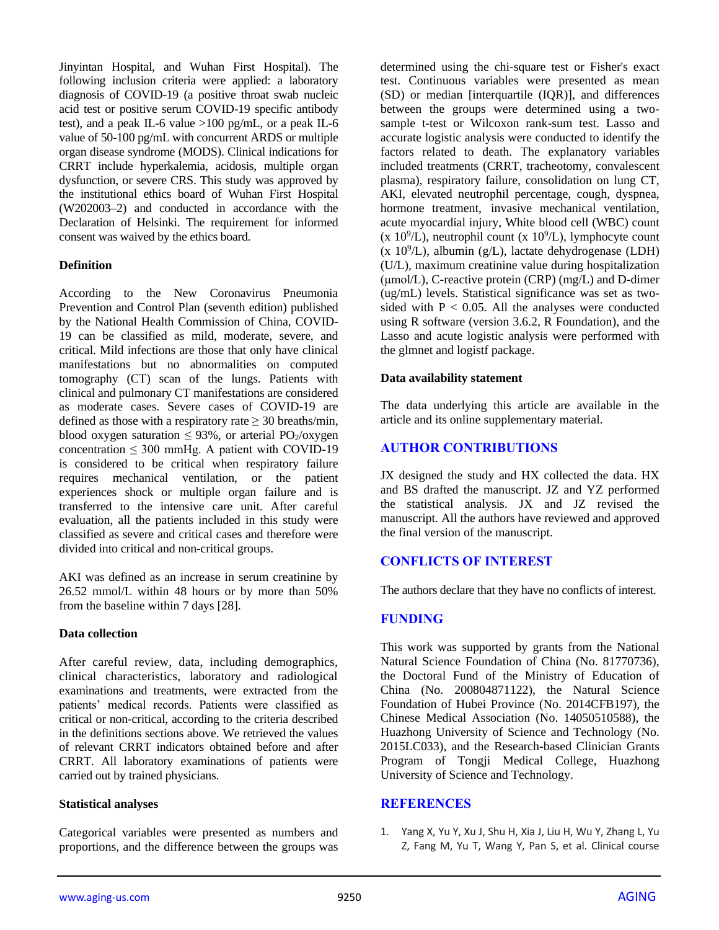Jinyintan Hospital, and Wuhan First Hospital). The following inclusion criteria were applied: a laboratory diagnosis of COVID-19 (a positive throat swab nucleic acid test or positive serum COVID-19 specific antibody test), and a peak IL-6 value >100 pg/mL, or a peak IL-6 value of 50-100 pg/mL with concurrent ARDS or multiple organ disease syndrome (MODS). Clinical indications for CRRT include hyperkalemia, acidosis, multiple organ dysfunction, or severe CRS. This study was approved by the institutional ethics board of Wuhan First Hospital (W202003–2) and conducted in accordance with the Declaration of Helsinki. The requirement for informed consent was waived by the ethics board.

#### **Definition**

According to the New Coronavirus Pneumonia Prevention and Control Plan (seventh edition) published by the National Health Commission of China, COVID-19 can be classified as mild, moderate, severe, and critical. Mild infections are those that only have clinical manifestations but no abnormalities on computed tomography (CT) scan of the lungs. Patients with clinical and pulmonary CT manifestations are considered as moderate cases. Severe cases of COVID-19 are defined as those with a respiratory rate  $>$  30 breaths/min. blood oxygen saturation  $\leq 93\%$ , or arterial PO<sub>2</sub>/oxygen concentration  $\leq 300$  mmHg. A patient with COVID-19 is considered to be critical when respiratory failure requires mechanical ventilation, or the patient experiences shock or multiple organ failure and is transferred to the intensive care unit. After careful evaluation, all the patients included in this study were classified as severe and critical cases and therefore were divided into critical and non-critical groups.

AKI was defined as an increase in serum creatinine by 26.52 mmol/L within 48 hours or by more than 50% from the baseline within 7 days [28].

#### **Data collection**

After careful review, data, including demographics, clinical characteristics, laboratory and radiological examinations and treatments, were extracted from the patients' medical records. Patients were classified as critical or non-critical, according to the criteria described in the definitions sections above. We retrieved the values of relevant CRRT indicators obtained before and after CRRT. All laboratory examinations of patients were carried out by trained physicians.

#### **Statistical analyses**

Categorical variables were presented as numbers and proportions, and the difference between the groups was determined using the chi-square test or Fisher's exact test. Continuous variables were presented as mean (SD) or median [interquartile (IQR)], and differences between the groups were determined using a twosample t-test or Wilcoxon rank-sum test. Lasso and accurate logistic analysis were conducted to identify the factors related to death. The explanatory variables included treatments (CRRT, tracheotomy, convalescent plasma), respiratory failure, consolidation on lung CT, AKI, elevated neutrophil percentage, cough, dyspnea, hormone treatment, invasive mechanical ventilation, acute myocardial injury, White blood cell (WBC) count  $(x 10<sup>9</sup>/L)$ , neutrophil count  $(x 10<sup>9</sup>/L)$ , lymphocyte count  $(x 10<sup>9</sup>/L)$ , albumin (g/L), lactate dehydrogenase (LDH) (U/L), maximum creatinine value during hospitalization  $(\mu \text{mol/L})$ , C-reactive protein  $(CRP)$  (mg/L) and D-dimer (ug/mL) levels. Statistical significance was set as twosided with  $P < 0.05$ . All the analyses were conducted using R software (version 3.6.2, R Foundation), and the Lasso and acute logistic analysis were performed with the glmnet and logistf package.

#### **Data availability statement**

The data underlying this article are available in the article and its online supplementary material.

# **AUTHOR CONTRIBUTIONS**

JX designed the study and HX collected the data. HX and BS drafted the manuscript. JZ and YZ performed the statistical analysis.  $\overrightarrow{IX}$  and  $\overrightarrow{IZ}$  revised the manuscript. All the authors have reviewed and approved the final version of the manuscript.

# **CONFLICTS OF INTEREST**

The authors declare that they have no conflicts of interest.

## **FUNDING**

This work was supported by grants from the National Natural Science Foundation of China (No. 81770736), the Doctoral Fund of the Ministry of Education of China (No. 200804871122), the Natural Science Foundation of Hubei Province (No. 2014CFB197), the Chinese Medical Association (No. 14050510588), the Huazhong University of Science and Technology (No. 2015LC033), and the Research-based Clinician Grants Program of Tongji Medical College, Huazhong University of Science and Technology.

## **REFERENCES**

1. Yang X, Yu Y, Xu J, Shu H, Xia J, Liu H, Wu Y, Zhang L, Yu Z, Fang M, Yu T, Wang Y, Pan S, et al. Clinical course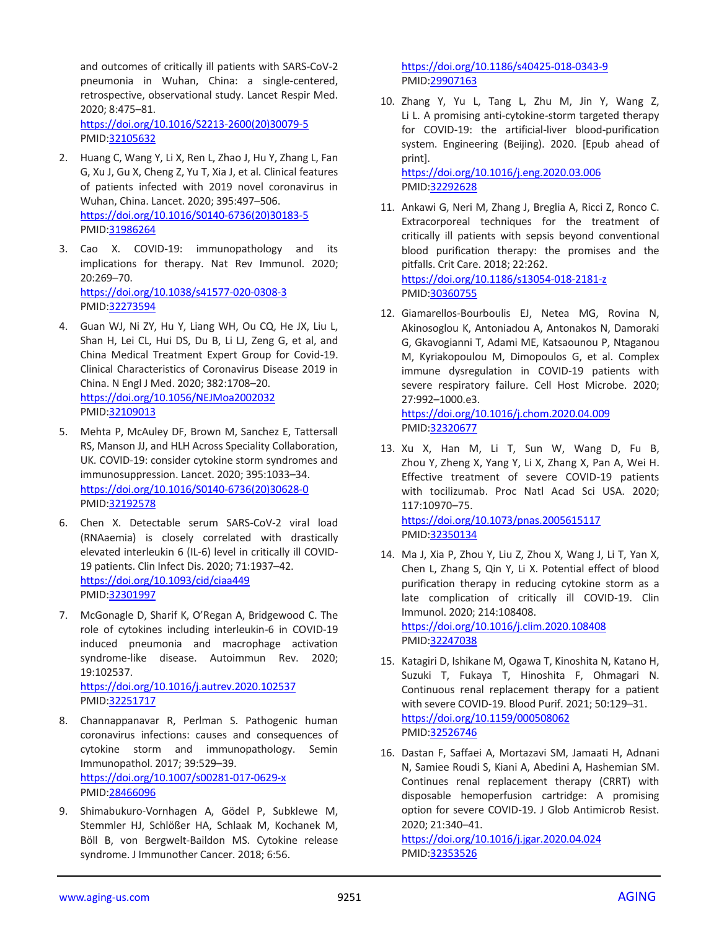and outcomes of critically ill patients with SARS-CoV-2 pneumonia in Wuhan, China: a single-centered, retrospective, observational study. Lancet Respir Med. 2020; 8:475–81. [https://doi.org/10.1016/S2213-2600\(20\)30079-5](https://doi.org/10.1016/S2213-2600(20)30079-5) PMID[:32105632](https://pubmed.ncbi.nlm.nih.gov/32105632)

2. Huang C, Wang Y, Li X, Ren L, Zhao J, Hu Y, Zhang L, Fan G, Xu J, Gu X, Cheng Z, Yu T, Xia J, et al. Clinical features of patients infected with 2019 novel coronavirus in Wuhan, China. Lancet. 2020; 395:497–506. [https://doi.org/10.1016/S0140-6736\(20\)30183-5](https://doi.org/10.1016/S0140-6736(20)30183-5) PMID[:31986264](https://pubmed.ncbi.nlm.nih.gov/31986264)

- 3. Cao X. COVID-19: immunopathology and its implications for therapy. Nat Rev Immunol. 2020; 20:269–70. <https://doi.org/10.1038/s41577-020-0308-3> PMID[:32273594](https://pubmed.ncbi.nlm.nih.gov/32273594)
- 4. Guan WJ, Ni ZY, Hu Y, Liang WH, Ou CQ, He JX, Liu L, Shan H, Lei CL, Hui DS, Du B, Li LJ, Zeng G, et al, and China Medical Treatment Expert Group for Covid-19. Clinical Characteristics of Coronavirus Disease 2019 in China. N Engl J Med. 2020; 382:1708–20. <https://doi.org/10.1056/NEJMoa2002032> PMID[:32109013](https://pubmed.ncbi.nlm.nih.gov/32109013)
- 5. Mehta P, McAuley DF, Brown M, Sanchez E, Tattersall RS, Manson JJ, and HLH Across Speciality Collaboration, UK. COVID-19: consider cytokine storm syndromes and immunosuppression. Lancet. 2020; 395:1033–34. [https://doi.org/10.1016/S0140-6736\(20\)30628-0](https://doi.org/10.1016/S0140-6736(20)30628-0) PMID[:32192578](https://pubmed.ncbi.nlm.nih.gov/32192578)
- 6. Chen X. Detectable serum SARS-CoV-2 viral load (RNAaemia) is closely correlated with drastically elevated interleukin 6 (IL-6) level in critically ill COVID-19 patients. Clin Infect Dis. 2020; 71:1937–42. <https://doi.org/10.1093/cid/ciaa449> PMID[:32301997](https://pubmed.ncbi.nlm.nih.gov/32301997)
- 7. McGonagle D, Sharif K, O'Regan A, Bridgewood C. The role of cytokines including interleukin-6 in COVID-19 induced pneumonia and macrophage activation syndrome-like disease. Autoimmun Rev. 2020; 19:102537. <https://doi.org/10.1016/j.autrev.2020.102537>

PMID[:32251717](https://pubmed.ncbi.nlm.nih.gov/32251717)

- 8. Channappanavar R, Perlman S. Pathogenic human coronavirus infections: causes and consequences of cytokine storm and immunopathology. Semin Immunopathol. 2017; 39:529–39. <https://doi.org/10.1007/s00281-017-0629-x> PMID[:28466096](https://pubmed.ncbi.nlm.nih.gov/28466096)
- 9. Shimabukuro-Vornhagen A, Gödel P, Subklewe M, Stemmler HJ, Schlößer HA, Schlaak M, Kochanek M, Böll B, von Bergwelt-Baildon MS. Cytokine release syndrome. J Immunother Cancer. 2018; 6:56.

<https://doi.org/10.1186/s40425-018-0343-9> PMI[D:29907163](https://pubmed.ncbi.nlm.nih.gov/29907163)

10. Zhang Y, Yu L, Tang L, Zhu M, Jin Y, Wang Z, Li L. A promising anti-cytokine-storm targeted therapy for COVID-19: the artificial-liver blood-purification system. Engineering (Beijing). 2020. [Epub ahead of print].

<https://doi.org/10.1016/j.eng.2020.03.006> PMI[D:32292628](https://pubmed.ncbi.nlm.nih.gov/32292628)

- 11. Ankawi G, Neri M, Zhang J, Breglia A, Ricci Z, Ronco C. Extracorporeal techniques for the treatment of critically ill patients with sepsis beyond conventional blood purification therapy: the promises and the pitfalls. Crit Care. 2018; 22:262. <https://doi.org/10.1186/s13054-018-2181-z>
	- PMI[D:30360755](https://pubmed.ncbi.nlm.nih.gov/30360755)
- 12. Giamarellos-Bourboulis EJ, Netea MG, Rovina N, Akinosoglou K, Antoniadou A, Antonakos N, Damoraki G, Gkavogianni T, Adami ME, Katsaounou P, Ntaganou M, Kyriakopoulou M, Dimopoulos G, et al. Complex immune dysregulation in COVID-19 patients with severe respiratory failure. Cell Host Microbe. 2020; 27:992–1000.e3.

<https://doi.org/10.1016/j.chom.2020.04.009> PMI[D:32320677](https://pubmed.ncbi.nlm.nih.gov/32320677)

- 13. Xu X, Han M, Li T, Sun W, Wang D, Fu B, Zhou Y, Zheng X, Yang Y, Li X, Zhang X, Pan A, Wei H. Effective treatment of severe COVID-19 patients with tocilizumab. Proc Natl Acad Sci USA. 2020; 117:10970–75. <https://doi.org/10.1073/pnas.2005615117> PMI[D:32350134](https://pubmed.ncbi.nlm.nih.gov/32350134)
- 14. Ma J, Xia P, Zhou Y, Liu Z, Zhou X, Wang J, Li T, Yan X, Chen L, Zhang S, Qin Y, Li X. Potential effect of blood purification therapy in reducing cytokine storm as a late complication of critically ill COVID-19. Clin Immunol. 2020; 214:108408.

<https://doi.org/10.1016/j.clim.2020.108408> PMI[D:32247038](https://pubmed.ncbi.nlm.nih.gov/32247038)

- 15. Katagiri D, Ishikane M, Ogawa T, Kinoshita N, Katano H, Suzuki T, Fukaya T, Hinoshita F, Ohmagari N. Continuous renal replacement therapy for a patient with severe COVID-19. Blood Purif. 2021; 50:129–31. <https://doi.org/10.1159/000508062> PMI[D:32526746](https://pubmed.ncbi.nlm.nih.gov/32526746)
- 16. Dastan F, Saffaei A, Mortazavi SM, Jamaati H, Adnani N, Samiee Roudi S, Kiani A, Abedini A, Hashemian SM. Continues renal replacement therapy (CRRT) with disposable hemoperfusion cartridge: A promising option for severe COVID-19. J Glob Antimicrob Resist. 2020; 21:340–41.

<https://doi.org/10.1016/j.jgar.2020.04.024> PMI[D:32353526](https://pubmed.ncbi.nlm.nih.gov/32353526)